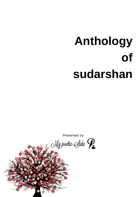# **Anthology of sudarshan**

Presented by

My poetic Side  $\mathcal{P}_{\scriptscriptstyle{\blacksquare}}$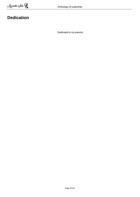# **Dedication**

Dedicated to my parents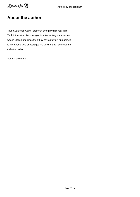### **About the author**

 I am Sudarshan Gopal, presently doing my first year in B. Tech(Information Technology). I started writing poems when I was in Class-I and since then they have grown in numbers. It is my parents who encouraged me to write and I dedicate the collection to him.

Sudarshan Gopal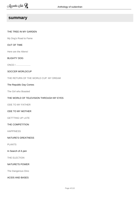### **summary**

#### THE TREE IN MY GARDEN

My Dog's Road to Fame

#### OUT OF TIME

Here are the Aliens!

#### BLIGHTY DOG

ONCE I ......................

#### SOCCER WORLDCUP

THE RETURN OF THE WORLD CUP: MY DREAM

#### The Republic Day Comes

The Girl who Boasted

#### THE WORLD OF TELEVISION THROUGH MY EYES

ODE TO MY FATHER

#### ODE TO MY MOTHER

GETTTING UP LATE

#### THE COMPETITION

HAPPINESS

#### NATURE'S GREATNESS

PLANTS

#### In Search of A pen

THE ELECTION

#### NATURE?S POWER

The Dangerous Dino

#### ACIDS AND BASES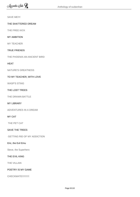#### SAVE ME!!!!

#### THE SHATTERED DREAM

THE FREE KICK

#### MY AMBITION

MY TEACHER

#### TRUE FRIENDS

THE PHOENIX-AN ANCIENT BIRD

#### **HEAT**

NATURE'S GREATNESS

#### TO MY TEACHER, WITH LOVE

WASP'S STING

#### THE LOST TREES

THE DRAWN BATTLE

#### MY LIBRARY

ADVENTURES IN A DREAM

#### MY CAT

THE PET CAT

#### SAVE THE TREES

GETTING RID OF MY ADDICTION

#### Eric, the Evil Emu

Steve, the Superhero

#### THE EVIL KING

THE VILLAIN

#### POETRY IS MY GAME

CHECKMATE!!!!!!!!!!!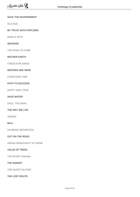#### SAVE THE ENVIRONMENT

OLD AGE

#### MY TRYST WITH POPCORN

MARY'S PETS

#### SEASONS

THE ROAD TO FAME

#### MOTHER EARTH

CHESS EXPLAINED

#### WINTERS ARE HERE

CHRISTMAS TIME

#### PATH TO SUCCESS

HAPPY NEW YEAR

#### SAVE WATER

DALE, THE SNAIL

#### THE WAY WE LIVE

SPRING

#### MILK

ON BEING SEPARATED

#### OUT ON THE ROAD

INDIAN DEMOCRACY AT WORK

#### VALUE OF TREES

THE RIVER YAMUNA

#### THE MARKET

THE GHOST SLAYER

#### THE LOST ROUTE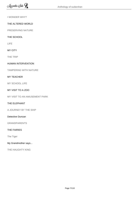#### I WONDER WHY?

#### THE ALTERED WORLD

PRESERVING NATURE

#### THE SCHOOL

LIFE

#### MY CITY

THE TRIP

#### HUMAN INTERVENTION

TAMPERING WITH NATURE

#### MY TEACHER

MY SCHOOL LIFE

#### MY VISIT TO A ZOO

MY VISIT TO AN AMUSEMENT PARK

#### THE ELEPHANT

A JOURNEY BY THE SHIP

#### Detective Duncan

GRANDPARENTS

#### THE FAIRIES

The Tiger

#### My Grandmother says...

THE HAUGHTY KING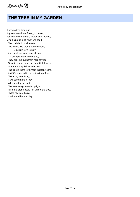### **THE TREE IN MY GARDEN**

I grew a tree long ago, It gives me a lot of fruits, you know, It gives me shade and happiness, indeed, And helps us a lot when we need. The birds build their nests, The tree is like their treasure chest, Squirrels love to play, And monkeys jump here all day. Children play around my tree, They pick the fruits from here for free, Once in a year there are beautiful flowers, In autumn they fall in a shower. The tree is there for almost thirteen years, As if it's attached to the soil without fears, That's my tree, I say, It will stand here all day. Whether day or night, The tree always stands upright, Rain and storm could not uproot the tree, That's my tree, I say, It will stand here all day.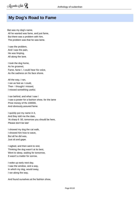### **My Dog's Road to Fame**

Bat was my dog's name, All he wanted was fame, and just fame, But there was a problem with him, The problem was that he was lame.

 I saw the problem, And I saw the pain, He was limping, All along the lane.

 I took the dog home, As he groaned, Fame, fame !, I could hear his voice, As the sadness on his face shone.

 All the way, I ran, I ran as fast as I could, Then I thought I missed, I missed something useful.

 I ran behind, and what I saw ! I saw a poster for a fashion show, for the lame Prize money of Rs 100000, And obviously,assured fame.

 I quickly put my name in it, And they told me the date, 'At sharp 6 :50, tomorrow you should be here, Please don't be late'

 I showed my dog the cat walk, I showed him how to wave, But all he did was, Just sit and gape.

 I sighed, and then went to rest, Thinking the dog wasn't at its best, Went to sleep, waiting for tomorrow, It wasn't a matter for sorrow.

 I woke up early next day, I saw the window, and a way, In which my dog, would sway, I ran along the way,

And found ourselves at the fashion show,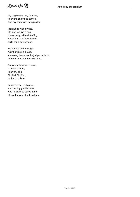My dog beside me, kept low, I saw the show had started, And my name was being called.

 I ran along with my dog, He also ran like a hog, It was misty, with a lot of fog, But when I saw besides me, Still I could see my dog.

 He danced on the stage, As if he was on a rage, A one-leg dance, as the judges called it, I thought was not a way of fame.

 But when the results came, I became lame, I saw my dog, Not 3rd, Not 2nd, In the 1 st place.

 I received the cash prize, And my dog got his fame, And he can't be called lame, He's a fun way of getting fame.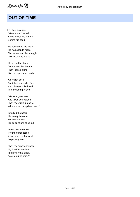# **OUT OF TIME**

He lifted his arms, "Mate soon!," he said As he locked his fingers Behind his head.

 He considered the move He was soon to make That would end the struggle. This victory he'd take.

 He arched his back, Took a satisfied breath, Then looked at me Like the spectre of death.

 An impish smile Stretched across his face, And his eyes rolled back In a pleased grimace.

 "My rook goes here And takes your queen, Then my knight jumps to Where your bishop has been."

 I studied the board. He was quite correct. His analysis clear. His calculations checked.

 I searched my brain For the right finesse A subtle move that would Display my best.

 Then my opponent spoke My time!Oh my time!! I pointed to his clock, "You're out of time."?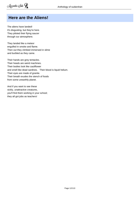### **Here are the Aliens!**

The aliens have landed! It's disgusting, but they're here. They piloted their flying saucer through our atmosphere.

They landed like a meteor engulfed in smoke and flame. Then out they climbed immersed in slime and burbled as they came.

Their hands are grey tentacles. Their heads are weird machines. Their bodies look like cauliflower and smell like dead sardines. Their blood is liquid helium. Their eyes are made of granite. Their breath exudes the stench of foods from some unearthly planet.

And if you want to see these sickly, unattractive creatures, you'll find them working in your school; they all got jobs as teachers!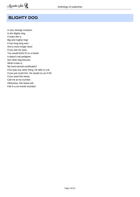### **BLIGHTY DOG**

A very strange creature, Is the blighty dog. It looks like a, Big and mighty hog! It has long-long ears And a more longer face! If you see his eyes, You would think it's in a haste! It doesn't eat pedigree, Nor other dog biscuits, What it eats is, My hard earned certificates!! If he eats any other thing, He falls in a fit, If you just scold him, He would cry as if hit! If you want this beast, Call me at my number, Otherwise, this beast will, Fall in a six-month slumber!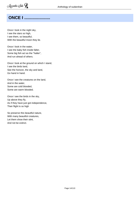# **ONCE I ......................**

Once I look in the night sky, I see the stars so high, I see them, so beautiful, With the beautiful moon they lie.

Once I look in the water, I see the baby fish inside falter, Some big fish act as the "halter", And run ahead of others.

Once I look at the ground on which I stand, I see the birds land, See the horizon, the sky and land, Go hand in hand.

Once I see the creatures on the land, And in the water, Some are cold blooded, Some are warm blooded.

Once I see the birds in the sky, Up above they fly, As if they have just got independence, Their flight is so high

So preserve this beautiful nature, With many beautiful creatures, Let them show their stint, And not be extinct.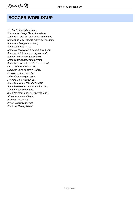### **SOCCER WORLDCUP**

The Football worldcup is on, The results change like a chameleon, Sometimes the best team lose and get out, Sometimes lower ranked teams get to shout. Some coaches get frustrated, Some are under rated, Some are involved in a heated exchange, Some are think they're totally cheated. Some players shock the coaches, Some coaches shock the players, Sometimes the referee gives a red card, Or sometimes a yellow card. Everyone loves soccer in Africa, Everyone uses vuvezelas, It disturbs the players a lot, More than the Jabulani ball. Some believe the "Hand Of GOD", Some believe their teams are the Lord, Some bet on their teams, And if the team loses, run away in fear!! All teams are equal here, All teams are feared, If your team finishes last, Don't say "Oh My Dear!"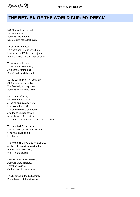# **THE RETURN OF THE WORLD CUP: MY DREAM**

MS Dhoni allots the fielders, It's the last over. Australia, the leaders, Need 6 runs of the last over.

 Dhoni is still nervous, To whom shall he give the ball? Harbhajan and Zaheer are injured, And Ashwin is not bowling well at all.

There comes the man, In the form of Tendulkar, Asks Dhoni for the ball, Says," I will bowl them all"

So the ball is given to Tendulkar, Oh ! how he spun the ball!, The first ball, Hussey is out! Australia is 6 wickets down.

Next comes Clarke, He is the man in form, All come and discuss here, How to get him out? The second ball is defended, And the third goes for a 4. Australia need 2 runs to win, The crowd is silent, and sounds as if a shore.

The next ball Clarke misses, "Just missed!", Dhoni announced, "The next ball he's out!" He shouts.

The next ball Clarke vies for a single, As the ball races towards the Long off. But Raina at midwicket, Won't let the ball go.

Last ball and 2 runs needed, Australia were in a lure, They had to go for it, Or they would lose for sure.

Tendulkar spun the ball sharply, From the end of the wicket to,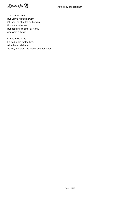The middle stump. But Clarke flicked it away, Oh! yes, he shouted as he went, For to the other end. But beautiful fielding, by Kohli, And what a throw!

Clarke is RUN OUT! He had fallen for the lure, All Indians celebrate, As they win their 2nd World Cup, for sure!!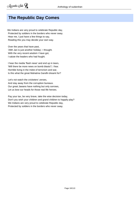### **The Republic Day Comes**

We Indians are very proud to celebrate Republic day, Protected by soldiers in the borders who never sway. Hear me, I just have a few things to say, Reading this you may decide your own way.

 Over the years that have past, '26th Jan is just another holiday', I thought. With the very recent wisdom I have got, I salute the leaders who had fought.

 I hear the media 'flash news' and end up in tears, 'Will there be more news on bomb blasts?, I fear. Horrible living in the midst of terrorism and war, Is this what the great Mahatma Gandhi dreamt for?

 Let's not watch the cricketers' zeroes, And stay away from the corruption bureaus. Our great Jawans have nothing but only sorrows, Let us bow our heads for those real life heroes.

 Pay your tax, be very brave, take the wise decision today, Don't you wish your children and grand children to happily play? We Indians are very proud to celebrate Republic day, Protected by soldiers in the borders who never sway.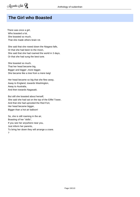### **The Girl who Boasted**

There was once a girl, Who boasted a lot, She boasted so much, That she made others brain rot.

 She said that she rowed down the Niagara falls, Or that she had been to the moon, She said that she had roamed the world in 3 days, Or that she had sung the best tune.

 She boasted so much, That her head became big, Bigger and bigger ,more bigger, She became like a tree from a mere twig!

 Her head became so big that she flew away, Away to England, towards Washington, Away to Australia, And then towards Nagasaki.

 But still she boasted about herself, She said she had sat on the top of the Eiffel Tower, And that she had uprooted the Red Fort, Her head became bigger, Bigger than a hot air balloon!

 So, she is still roaming in the air, Boasting of her "skills", If you see her anywhere near you, Just inform her parents, To bring her down they will arrange a crane. ?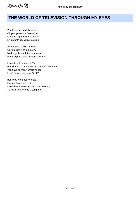# **THE WORLD OF TELEVISION THROUGH MY EYES**

You leave us with little vision, Oh yes, you're the Television, Day and night my eyes I strain, My parents say you are a pain.

All the time I squint and cry, Gazing hard with a big eye, Mother yells and father screams, But everything passes as if a dream.

I want to yell at you, oh TV, But what to do, you have my favorite, Channel V You have so many attractive ads, I can't stop seeing you, Oh TV.

But if you were not invented, It would have been better. I would write an objection to the inventor, To make you instead a computer.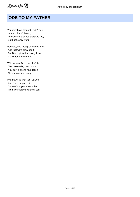# **ODE TO MY FATHER**

You may have thought I didn't see, Or that I hadn't heard, Life lessons that you taught to me, But I got every word.

Perhaps, you thought I missed it all, And that we'd grow apart, But Dad, I picked up everything, It's written on my heart.

Without you, Dad, I wouldn't be The personality I am today, You built a strong foundation No one can take away.

I've grown up with your values, And I'm very glad I did, So here's to you, dear father, From your forever grateful son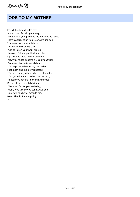# **ODE TO MY MOTHER**

For all the things I didn't say, About how I felt along the way, For the love you gave and the work you've done, Here's appreciation from your admiring son. You cared for me as a little tot when all I did was cry a lot. And as I grew your work did too-- I ran and fell and got black and blue. I grew some more and it didn't stop; Now you had to become a Scientific Officer, To worry about mistakes I'd make; You kept me in line for my own sake. I got older, and the story repeated; You were always there whenever I needed. You guided me and wished me the best; I became wiser and knew I was blessed. So, for all the times I didn't say, The love I felt for you each day, Mom, read this so you can always see Just how much you mean to me. Mom, Thanks for everything! ?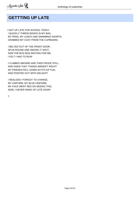# **GETTTING UP LATE**

I GOT UP LATE FOR SCHOOL TODAY, I QUICKLY THREW BOOKS IN MY BAG, MY PENS, MY LUNCH AND SWIMMING SHORTS, GRABBED MY COAT FROM THE CUPBOARD.

 I BELTED OUT OF THE FRONT DOOR, SPUN ROUND AND SWUNG IT SHUT, SAW THE BUS WAS WAITING FOR ME, I FELT I HAD TO RUN!

 I CLIMBED ABOARD AND THEN FROZE STILL, AND KNEW THAT THINGS WEREN'T RIGHT! MY FRIENDS FELL DOWN IN FITS OF FUN, AND POINTED OUT WITH DELIGHT!

 I REALIZED I FORGOT TO CHANGE, MY UNIFORM, MY BLUE UNIFORM, MY FACE WENT RED ON SEEING THIS, NOW, I NEVER WAKE UP LATE AGAIN

?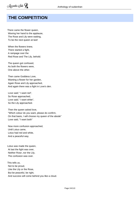### **THE COMPETITION**

There came the flower queen, Waving her hand to the applause, The Rose and Lily were waiting, To be the next queen at last!

 When the flowers knew, There started a fight, A rampage over the Red Rose and The Lily, behold.

 The queen got confused, As both the flowers were, One above the other.

 Then came Goddess Love, Wanting a flower for her garden, Again Rose and Lily approached, And again there was a fight in Love's den.

 Love said," I want red", So Rose approached, Love said," I want white", So the Lily approached.

 Then the queen asked love, "Which colour do you want, please do confirm, On that basis, I will choose my queen of the abode" Love said, "I want both"

 Now more confusion approached, Until Lotus came, Lotus had red and white, And a peaceful way.

Lotus was made the queen, At last the fight was over, Neither Rose ,nor the Lily, The confusion was over.

This tells us, Not to be proud, Like the Lily or the Rose, But be peaceful, be right, And success will come behind you like a cloud.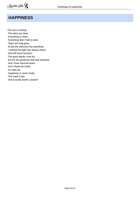### **HAPPINESS**

The sun is shining, The skies are clear, Everything is close, Everything that I hold is dear, Fears are long gone, At last the darkness has banished, I realized the light has always shone And will never be gone, The good deeds I now do, Are for the goodness that had vanished, And I have returned anew. And I thank the Gods, For after all, Happiness is never small, The world is fair, And is surely worth a share!!!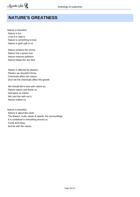# **NATURE'S GREATNESS**

Nature is beautiful, Nature is fun, Love it or hate it, Nature is something to love, Nature is god's gift to us

 Nature protects the ozone, Nature has a green hue, Nature reduces pollution, Nature keeps the sky blue

 Nature is affected by plastics, Plastics we shouldn't throw, Chemicals affect the nature, Don't let the chemicals affect the growth

We should fall in love with nature as Nature waters and feeds us. God gave us nature, We cant live with out it, Nature makes us.

Nature is beautiful, Nature is about the earth, The flowers, fruits, seeds & weeds, the surroundings It is contained in everything around us Come and enjoy and be with the nature.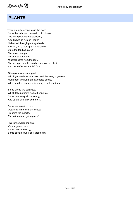### **PLANTS**

There are different plants in the world, Some live in hot and some in cold climate. The main plants are autotrophs,, Also known as "Green Plants" Make food through photosynthesis, By CO2, H2O, sunlight & chlorophyll Store the food as starch, The leaves are part, Which make the food Minerals come from the root, The stem passes this to other parts of the plant, And the leaf stores the left food.

 Often plants are saprophytes, Which get nutrients from dead and decaying organisms, Mushroom and fungi are examples of this, When you leave a bread in open you will see these

 Some plants are parasites, Which take nutrients from other plants, Some take away all the energy And others take only some of it.

 Some are insectivorous Obtaining minerals from insects, Trapping the insects, Eating them and getting relief

 This is the world of plants, Very huge and vast, Some people destroy, Some people save it as if their heart.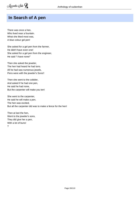### **In Search of A pen**

There was once a hen, Who lived near a fountain. What she liked most was, A blue colour gel pen!

She asked for a gel pen from the farmer, He didn't have even one! She asked for a gel pen from the engineer, He said "I have none!"

Then she asked the jeweler, The hen had heard he had tons. All he had was numerous jewels, Pens were with the jeweler's Sons!!

Then she went to the cobbler, And asked if he had one pen, He said he had none, But the carpenter will make you ten!

She went to the carpenter, He said he will make a pen, The hen was excited, But all the carpenter did was to make a fence for the hen!

Then at last the hen, Went to the jeweler's sons, They did give her a pen, With a lot of buns! ?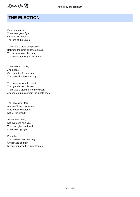# **THE ELECTION**

Once upon a time, There was great fight, On who will become, The king of the jungle.

There was a great competition, Between the birds and the animals, To decide who will become, The undisputed king of the jungle.

There was a rumble, And a roar, Out came the former king, The lion with a beautiful ring.

The eagle showed his stunts, The tiger showed his roar, There was a grumble from the boar, And more grumbles from the jungle shore.

The lion saw all this, And said"I want someone, Who would work for all, Not for his greed"

All became silent, Not even one said yes, The lion sighed and said, I'll be the king again"

From then on, The lion has been the king, Undisputed and fair, No one opposed him from then on.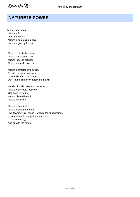# **NATURE?S POWER**

Nature is beautiful, Nature is fun, Love it or hate it, Nature is something to love, Nature is god's gift to us

 Nature protects the ozone, Nature has a green hue, Nature reduces pollution, Nature keeps the sky blue

 Nature is affected by plastics, Plastics we shouldn't throw, Chemicals affect the nature, Don't let the chemicals affect the growth

We should fall in love with nature as Nature waters and feeds us. God gave us nature, We cant live with out it, Nature makes us.

 Nature is beautiful, Nature is about the earth, The flowers, fruits, seeds & weeds, the surroundings It is contained in everything around us, Come and enjoy, And be with the nature.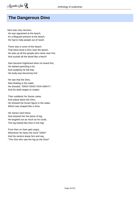### **The Dangerous Dino**

Sam was very nervous, He was appointed at the beach, As a lifeguard present at the beach, He had to help people out of reach.

 There was a rumor of the beach, That there lived a Dino near the beach, He eats up all the people who came near him, And sucked all the blood like a leech!

 Sam became frightened when he heard this, He started panicking a lot, And suddenly he felt that, His body was becoming hot!

 He saw that the Dino, Was floating in the water, He shouted, "DINO! DINO! RUN AWAY!", And his teeth began to chatter.

 Then suddenly his Senior came, And asked about the Dino, He showed the brown figure in the water, Which was shaped like a rhino.

 His Senior went there, And showed him the piece of log, He laughed out as much as he could, The log looked like Dino in the fog!

 From then on Sam gets angry, Whenever he hears the word "DINO" And his seniors tease him and say, "The One who saw the log as the Dino!"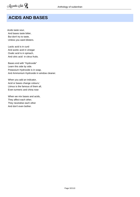# **ACIDS AND BASES**

Acids taste sour, And bases taste bitter, But don't try to taste, Unless you want blisters.

 Lactic acid is in curd And acetic acid in vinegar Oxalic acid is in spinach, And citric acid in citrus fruits.

 Bases end with "Hydroxide" Learn this side by side. Potassium Hydroxide is in soap, And Ammonium Hydroxide in window cleaner.

 When you add an indicator, Acid or bases change colours,' Litmus is the famous of them all, Even turmeric and china rose

 When we mix bases and acids, They affect each other, They neutralise each other And don't even bother.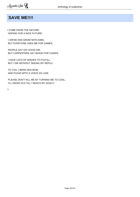# **SAVE ME!!!!**

I COME FROM THE NATURE, HOPING FOR A NICE FUTURE!

 I GROW AND GROW WITH AIMS, BUT EVERYONE USES ME FOR GAMES.

 PEOPLE SAY OH! GOOD AIR, BUT CARPENTERS SAY WOOD FOR CHAIRS.

 I HAVE LOTS OF WISHES TO FULFILL, BUT I DIE WITHOUT SEEING MY REFILL!

 TO YOU, I BEND AND BOW, AND PLEAD WITH A VOICE SO LOW.

 PLEASE DON'T KILL ME BY TURNING ME TO COAL, I'LL GROW OLD TILL I REACH MY GOAL!!!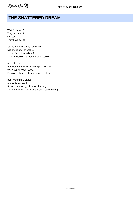# **THE SHATTERED DREAM**

Wait !! Oh! wait! They've done it! Oh! yes! They have got it!!

It's the world cup they have won. Not of cricket, or hockey, It's the football world cup!! I can't believe it, as I rub my eye sockets.

As I rub them, Bhutia, the Indian Football Captain shouts, "Wow Wow! Wow!! Wow!" Everyone clapped at it and shouted aloud.

But I looked and stared, And woke up startled, Found out my dog, who's still barking!! I said to myself "Oh! Sudarshan, Good Morning!"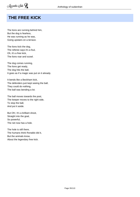# **THE FREE KICK**

The lions are running behind him, But the dog is fearless, He was running as he was, Going upstairs on a terrace.

The lions kick the dog, The referee says it's a foul, Oh, it's a free kick, The lions roar and scowl.

The dog comes running, The lions get ready, The dog hits the ball, It goes as if a magic was put on it already.

It bends like a Beckham kick, The defenders just kept seeing the ball, They could do nothing, The ball was bending a lot.

The ball moves towards the post, The keeper moves to the right side, To stop the ball, And put it aside.

But Oh!, It's a brilliant shoot, Straight into the goal, So powerful, The net now has a hole.

The hole is still there, The humans think Ronaldo did it, But the animals know, About the legendary free kick.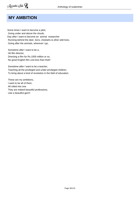### **MY AMBITION**

Some times I want to become a pilot, Going under and above the clouds, Day after I want to become an animal researcher Running behind the deer, lions, cheetahs & other wild lives, Going after the animals, wherever I go,

 Sometime after I want to be a, Hit film director, Directing a film for Rs.1500 million or so, No good English film cost less than that!!

 Sometime after I want to be a teacher, Teaching all the privileged and under-privileged children, To bring about a kind of revolution in the field of education.

 These are my ambitions, I want to be all of them, All rolled into one. They are indeed beautiful professions, Like a beautiful gem!!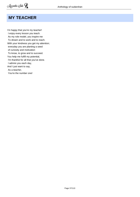## **MY TEACHER**

I'm happy that you're my teacher! I enjoy every lesson you teach. As my role model, you inspire me To dream and to work and to reach. With your kindness you get my attention; everyday you are planting a seed of curiosity and motivation To know, to grow and to succeed. You help me fulfill my potential, I'm thankful for all that you've done. I admire you each day, And I just want to say, As a teacher, You're the number one!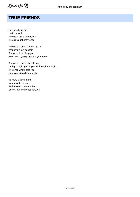### **TRUE FRIENDS**

True friends are for life, Until the end, They're more than special, They're your best friends.

 They're the ones you can go to, When you're in despair, The ones that'll help you, Even when you got gum in your hair!

 They're the ones who'll laugh, And go laughing with you all through the night , The ones who'll help you, Help you with all their might.

 To have a good friend, You have to be one, So be nice to one another, So you can be friends forever!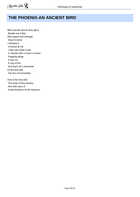## **THE PHOENIX-AN ANCIENT BIRD**

With warmth and its fiery glory Beside me it flew With speed and strength Down it dived I followed it It looked at me I then saw what it was A beauty with a colour of dawn Flapping wings A war cry A ring of fire And that's all I remember Of the bird with The fire of immortality

And of the bird with The body of fiery beauty And with eyes of Great kindness of the heavens.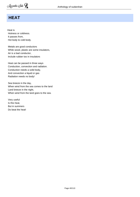#### **HEAT**

Heat is Hotness or coldness. It passes from, Hot body to cold body.

 Metals are good conductors While wood, plastic are some insulators, Air is a bad conductor, Include rubber too in insulators

 Heat can be passed in three ways Conduction, convection and radiation. Conduction needs a solid body, And convection a liquid or gas Radiation needs no body!

 Sea breeze in the day, When wind from the sea comes to the land Land breeze in the night, When wind from the land goes to the sea.

 Very useful Is this heat, But in summers Do beat the heat!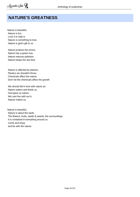### **NATURE'S GREATNESS**

Nature is beautiful, Nature is fun, Love it or hate it, Nature is something to love, Nature is god's gift to us

 Nature protects the ozone, Nature has a green hue, Nature reduces pollution, Nature keeps the sky blue

 Nature is affected by plastics, Plastics we shouldn't throw, Chemicals affect the nature, Don't let the chemicals affect the growth

We should fall in love with nature as Nature waters and feeds us. God gave us nature, We cant live with out it, Nature makes us.

Nature is beautiful, Nature is about the earth, The flowers, fruits, seeds & weeds, the surroundings It is contained in everything around us Come and enjoy and be with the nature.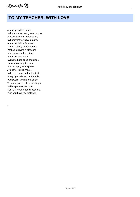### **TO MY TEACHER, WITH LOVE**

A teacher is like Spring, Who nurtures new green sprouts, Encourages and leads them, Whenever they have doubts. A teacher is like Summer, Whose sunny temperament Makes studying a pleasure, And prevents discontent. A teacher is like Fall, With methods crisp and clear, Lessons of bright colors And a happy atmosphere. A teacher is like Winter, While it's snowing hard outside, Keeping students comfortable, As a warm and helpful guide. Teacher, you do all these things, With a pleasant attitude. You're a teacher for all seasons, And you have my gratitude!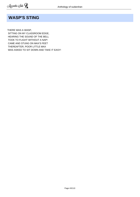## **WASP'S STING**

THERE WAS A WASP, SITTING ON MY CLASSROOM EDGE, HEARING THE SOUND OF THE BELL TOOK TO FLIGHT WITHOUT A NAP! CAME AND STUNG ON MAX'S FEET THEREAFTER, POOR LITTLE MAX WAS ASKED TO SIT DOWN AND TAKE IT EASY!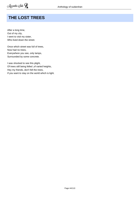# **THE LOST TREES**

After a long time, Out of my city, I went to visit my sister, Who lived down the street.

Once which street was full of trees, Now had no trees, Everywhere you see, only lamps, Surrounded by some concrete.

I was shocked to see this plight, Of trees still being felled ,of varied heights, Hey my friends, don't fell the trees, If you want to stay on the world which is light.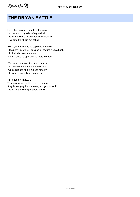### **THE DRAWN BATTLE**

He makes his move and hits the clock, On my poor Kingside he's got a lock, Down the file his Queen comes like a truck, This time I think I'm out of luck.

 His eyes sparkle as he captures my Rook, He's playing so fast, I think he's cheating from a book, He thinks he's got me up a tree , Yeah, guess he spotted that mate in three .

 My clock is running tick tock, tick tock, I'm between the hard place and a rock , A quick glance at him & I see him grin, He's ready to chalk up another win.

I'm in trouble, I know it, This mate would be like I am getting hit, Flag is hanging, it's my move, and yes, I saw it! Now, it's a draw by perpetual check!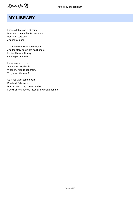## **MY LIBRARY**

I have a lot of books at home, Books on Nature, books on sports, Books on cartoons, And many more.

The Archie comics I have a load, And the story books are much more, It's like I have a Library, Or a big book Store!

I have many novels, And many story books, When my friends see them, They give silly looks!

So if you want some books, Don't call Scholastic, But call me on my phone number, For which you have to just dial my phone number.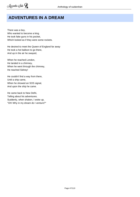### **ADVENTURES IN A DREAM**

There was a boy, Who wanted to become a king. He took fake guns in his pocket, Which looked as if they were some rockets.

He desired to meet the Queen of England far away He took a hot balloon to go there, And up in the air he swayed,

When he reached London, He landed in a chimney, When he went through the chimney, He reached Sidney!

He couldn't find a way from there, Until a ship came, When he showed an SOS signal, And upon the ship he came.

He came back to New Delhi, Telling about his adventures. Suddenly, when shaken, I woke up, "Oh! Why in my dream do I venture?"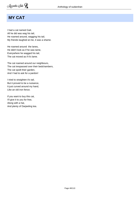### **MY CAT**

I had a cat named Gail, All he did was wag his tail, He roamed around, wagging his tail, My friends laughed at me, it was a shame.

He roamed around the lanes, He didn't look as if he was tame, Everywhere he wagged his tail, The cat moved as if it's lame.

The cat roamed around our neighbours, The cat trespassed over their bedchambers, The cat spoilt their garden, And I had to ask for a pardon!

I tried to straighten it's tail, But it proved to be a nuisance, It just curved around my hand, Like an old iron fence.

If you want to buy this cat, I'll give it to you for free, Along with a hat, And plenty of Darjeeling tea.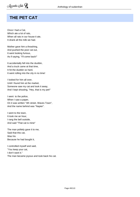### **THE PET CAT**

Once I had a Cat, Which ate a lot of rats, When all rats in our house it ate, It drank all the milk we had.

Mother gave him a thrashing, And pushed the poor cat out, It went looking furious, As if saying, "I'll come back!"

It accidentally fell into the dustbin, And a truck came at that time, It hit the dustbin so hard, It went rolling into the city in no time!

I looked for him all over, Until I found him at the market, Someone saw my cat and took it away, And I kept shouting, "Hey, that is my pet!"

I went to the police, When I saw a paper, On it was written "4th street, Waves Town", And the name behind was "Napier".

I went to the town, It took me an hour, I rang the bell outside, And said "That cat is mine"

The man politely gave it to me, Said that this cat, Was his Because he had bought it,

I controlled myself and said, "You keep your cat, I don't want it." The man became joyous and took back his cat.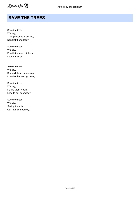# **SAVE THE TREES**

Save the trees, We say, Their presence is our life, Don't let them decay.

Save the trees, We say, Don't let others cut them, Let them sway.

Save the trees, We say, Keep all their enemies out, Don't let the trees go away.

Save the trees, We say, Felling them would, Lead to our doomsday.

Save the trees, We say, Saving them is Our future's doorway.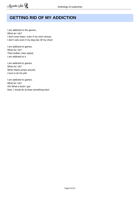# **GETTING RID OF MY ADDICTION**

I am addicted to the games, What do I do? I don't even listen, even if my mom shouts, I don't care even if my dog rips off my shoe!

I am addicted to games, What do I do? Their bullets, their speed, I am addicted to it

I am addicted to games, What do I do? When Mario jumps around, I love to do his job!

I am addicted to games, What do I do? Oh! What a book I got, Now, I would do at least something else!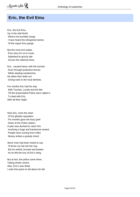#### **Eric, the Evil Emu**

Eric, the Evil Emu Up in the wild North Where hot humidity hangs I have heard the whispered stories Of the rogue Emu gangs.

But the most evil outlaw Emu story for us to muse Splashed its grizzly tale Across the national news.

Eric...caused havoc with the tourists Even through protective fences While stealing sandwiches, He takes their teeth out Giving work to the local dentists.

For months Eric had his way With Tourists, Locals and the like Till the Queensland Police were called in To deal with Eric, With all their might.

Now Eric, none the wiser Of his ghastly reputation For months gave the boys grief Down at the Police station. A plan was devised to catch him involving a huge and handsome reward People were coming from miles Money strikes a greedy chord.

Steve Irwin had been heard to say I'll throw my hat into the ring But he retired, bruised and beaten As he felt the fury of Eric's sting.

But at last, the police came there, Taking whole control, Alas, Eric's now dead, I write this poem to tell about his fall.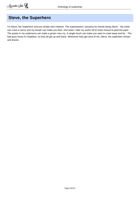### **Steve, the Superhero**

I'm Steve, the Superhero and you simply won't believe. The superpowers I possess by merely being Steve. My smile can crack a mirror and my breath can make you faint. And when I take my socks off it's been known to peel the paint. The power in my underarms can make a grown man cry. A single touch can make you want to crawl away and lie. The bad guys know it's hopeless, so they all get up and leave. Whenever they get wind of me, Steve, the superhero shoots and leaves.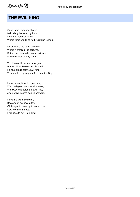### **THE EVIL KING**

Once I was doing my chores, Behind my house's big doors, I found a world full of fun, Where there would be nothing much to learn.

It was called the Land of Hoom, Where it smelled like perfume, But on the other side was an evil land Which was full of dirty sand.

The King of Hoom was very good, But he hid his face under his hood, He fought against the Evil King, To keep his big kingdom free from the fling.

I always fought for the good king, Who had given me special powers, We always defeated the Evil King, And always poured gold in showers.

I love this world so much, Because of my new hutch. Oh!I forgot to wake up today on time, Now to catch the bus, I will have to run like a hind!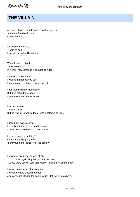### **THE VILLAIN**

As I was playing my videogame in a lone corner, Someone from behind me, Called my name

It was so frightening, It was so dark, His voice sounded like a Lark!

When I turned behind, I saw no one, In front of me, someone was trying to hide!

I looked all around me, I was so frightened, you see, I found no one; I showed my teeth in glee

I continued with my videogame, But then behind the curtain, I saw a person who was lame!

I rubbed my eyes, Twice or thrice, But he was still standing there, with a palm full of rice...

I asked him "Who are you", He looked at me, with his red fiery eyes, Which looked like reddish cubes of ice!

He said, " Are you kidding?, Or are you playing a game!" "I am your friend, don't I look the same?!"

I looked at my friend, he was alright, "You had yet again forgotten, to lock the door" "As you were busy in your videogame, I came through the door"

I remembered, what I had forgotten, I went there and closed the door, And continued playing the game, which I felt now, was a bore.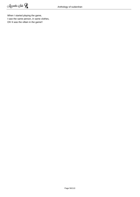When I started playing the game, I saw the same person, in same clothes, Oh! It was the villain in the game!!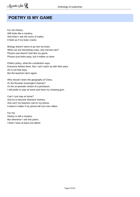### **POETRY IS MY GAME**

For me History, Still looks like a mystery, And when I see the sums of maths, It feels as if my brain cracks.

Biology doesn't seem to go into my brain, When we are harvesting crops, why harvest rain? Physics just doesn't look like my game, Physics just looks easy, but it makes us lame

Politics policy, what the constitution says, Everyone follows them, But I can't catch up with their pace. Art is not that easy, But the teachers don't agree.

Why should I learn the geography of China, Or the Russian scavengers Hyenas? Or the un-periodic motion of a pendulum, I will prefer to stay at home and have my chewing gum.

Can't I just stay at home? And try to become Sherlock Holmes, And can't my teachers call on my phone, It doesn't matter if my phone bill runs into million.

For me, History is still a mystery, But whenever I see this poem, I think I have at least one talent!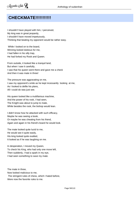# **CHECKMATE!!!!!!!!!!!**

I shouldn't have played with him, I perceived, My king was in great jeopardy, I shouldn't have moved impetuously, Thinking that beating my opponent would be rather easy.

 While I looked on to the board, Winning looked dubious for me, I had fallen in his silly trap, He had forked my Rook and Queen.

From outside, it looked like a tranquil land, But when I saw it carefully, I saw that his queen went there and gave me a check And then it was mate in three!

The pressure was aggravating on me, I saw my opponent's smile as he kept incessantly looking at me, As I looked to defile his plans, All I could do was just see.

His queen looked like a multifarious machine, And the power of his rook, I had seen, The Knight was about to jump to mate, While besides the rook, the bishop would lean.

I didn't know how he attacked with such efficacy, Maybe he was seeing a book, Or maybe he was cheating from his friend, Again and again in his friend's board he would look.

The mate looked quite lucid to me, He would see it quite easily, His king looked quite exalted, It looked as if he was laughing on me.

In desperation, I moved my Queen, To check his King, who had only one move left, Then suddenly, I had a spark in my eye, I had seen something to save my mate.

The mate in three, Now looked malicious to me, The stringent rules of chess, which I hated before, Were now the favorite rules to me.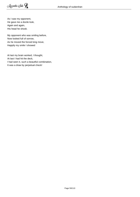As I saw my opponent, He gave me a docile look, Again and again, His head he shook.

My opponent who was smiling before, Now looked full of sorrow, As he moved the forced king move, Happily my smile I showed

At last my brain worked, I thought, At last I had hit the deck, I had seen it, such a beautiful combination, It was a draw by perpetual check!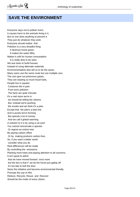### **SAVE THE ENVIRONMENT**

Everyone says not to pollute rivers,

It causes harm to the animals living in it, But no one does anything to prevent it. They just do whatever they wish. Everyone should realise that Pollution is a very dreadful thing It destroys forest green It makes the water filthy Makes it unfit for human consumption It is really dirty to be seen. We axe trees to build houses. Instead of using alternate materials Environmentalists also tell us to do the same,. Many users use the same route but use multiple cars, The cars give out poisonous gases, They are wasting so much fossil fuels, People live in squalor Creatures die in pain From toxic pollution The facts are quite intricate. It's a real mess we're in we should be telling the citizens But, instead we're pushing the smoke and we think it's a joke. Except that the joke's a bad one And is purely terror-forming But spends a lot of money And we call it global warming. A solution to it is by using a car pool You cannot reincarnate a species Or regrow an extinct tree By paying carbon offset Or by making products carbon-free. So, if you want a better world consider what you do Real differences will be made By controlling the emissions. Planting more trees and paying attention to all concerns. It isn't great to admit that we have moved forward once more but the fact is that if we let the horse just gallop off it's too late to bolt the door. Seize the initiative and become environmental friendly. Promote the use of 4Rs Reduce, Recycle, Reuse and Recover Should be the motto of every citizen.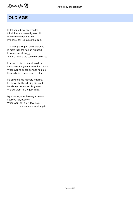### **OLD AGE**

I'll tell you a bit of my grandpa. I think he's a thousand years old. His hands colder than ice, I've never felt ice cubes that cold.

The hair growing off of his earlobes Is more than the hair on his head. His eyes are all baggy, And his nose is the same shade of red.

His voice is like a squeaking door. It crackles and groans when he speaks. Whenever he bends down to hug me It sounds like his skeleton creaks.

He says that his memory is failing. He thinks that he's losing his mind. He always misplaces his glasses Without them he's legally blind.

My mom says his hearing is normal. I believe her, but then Whenever I tell him "I love you," He asks me to say it again.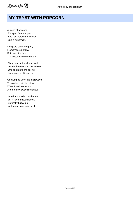## **MY TRYST WITH POPCORN**

A piece of popcorn Escaped from the pan And flew across the kitchen Like a superman.

I forgot to cover the pan, I remembered lately. But it was too late, The popcorns own their fate.

 They bounced back and forth beside the oven and the freezer. One shot up to the ceiling like a daredevil trapezer.

One jumped upon the microwave, Then rolled onto the stove. When I tried to catch it. Another flew away like a dove.

 I tried and tried to catch them, but it never missed a trick. So finally I gave up and ate an ice-cream stick.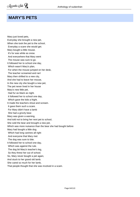#### **MARY'S PETS**

Mary just loved pets, Everyday she brought a new pet, When she took the pet to the school, Everyday a scare she would get. Mary bought a little mouse. It's fur was white as snow. And everywhere that Mary went The mouse was sure to go. It followed her to school one day, Which wasn't Mary's plan, For when the mouse jumped on her desk, The teacher screamed and ran! Mary then shifted to a new city, And she had to leave her mouse, In the new city she bought a new pet, The pet never lived in her house Mary's new little pet, Had fur as black as night. It followed her to school one day, Which gave the kids a fright. It made the teachers shout and scream. It gave them such a scare. For Mary didn't have a lamb She had a grizzly bear. Mary was given a warning, And told not to bring her next pet to school, She sold the bear and brought a new pet, Which was more nuisance than the bear she had bought before Mary had bought a little dog. Which had long canines all right And everyone that Mary met The dog was sure to bite. It followed her to school one day, Which was against the rule. The dog bit Mary's teacher's leg, So they threw her out of school. So, Mary never bought a pet again, And stuck to her grand old lamb. She cared so much for her lamb, That people thought that she was involved in a scam.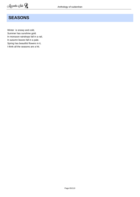My poetic Side  $\mathcal{P}_{\text{in}}$ 

## **SEASONS**

Winter is snowy and cold, Summer has sunshine gold. In monsoon raindrops fall in a rail, In autumn leaves fall in a pale. Spring has beautiful flowers in it, I think all the seasons are a hit.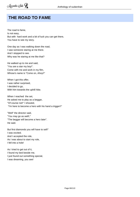## **THE ROAD TO FAME**

The road to fame, Is not easy, But with hard work and a bit of luck you can get there, You have to see my story.

One day as I was walking down the road, I saw someone staring at me there. And I stopped to see. Why was he staring at me like that?

He walked up to me and said, "You are a star my boy!". Come with me and work in my film, Whose's name is "Come on, Ahoy!!"

When I got this offer, I was rather surprised, I decided to go, With him towards the uphill hike.

When I reached the set, He asked me to play as a beggar, "Of course not!" I shouted, "I'm here to become a hero with his hand a trigger!!"

"Well" the director said, "You may go as well!," "The beggar will become a hero later". He said.

But first diamonds you will have to sell!" I was excited. And I accepted the role, As I was about to start my role, I fell into a hole!

As I tried to get out of it, I found my bed beside me, I just found out something special, I was dreaming, you see!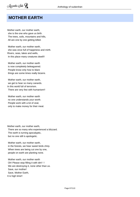#### **MOTHER EARTH**

Mother earth, our mother earth, she is the one who gave us birth. The trees, soils, mountains and hills, All are one by one getting killed.

 Mother earth, our mother earth, she was once full of happiness and mirth. Rivers, seas, lakes and wells, In this place many creatures dwell!!

 Mother earth, our mother earth is now completely beleaguered. People know only how to blare things are some times really bizarre.

 Mother earth, our mother earth, we get to hear so many canards. In this world full of terrorism. There are very few with humanism!!

 Mother earth, our mother earth no one understands your worth. People work with a lot of zeal, only to make money for their meal.

Mother earth, our mother earth, There are so many who experienced a blizzard. The earth is turning apocalyptic, but no one still is apologetic.

 Mother earth, our mother earth, in the forests, we hear sweet birds chirp. When trees are being cut one by one, people on earth are planting none.

 Mother earth, our mother earth Oh! Please stop filling it with dirt! ! ! We are destroying it, none other than us. Save, our mother! Save, Mother Earth, It is high time!!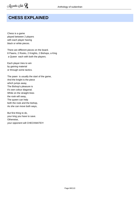## **CHESS EXPLAINED**

Chess is a game played between 2 players with each player having black or white pieces.

There are different pieces on the board. 8 Pawns, 2 Rooks, 2 Knights, 2 Bishops, a King a Queen each with both the players.

Each player tries to win by gaining material or through some tactics.

The pawn is usually the start of the game, And the knight is the piece which jumps away, The Bishop's pleasure is it's own colour diagonal. While on the straight lines the rook will sway, The queen can help both the rook and the bishop, As she can move both ways,

But first thing to do, your king you have to save. Otherwise, your opponent will CHECKMATE!!!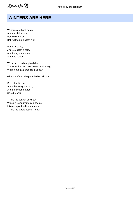## **WINTERS ARE HERE**

Winteres are back again, And the chill with it, People like to sit, Behind them a heater is lit.

Eat cold items, And you catch a cold, And then your mother, Starts to scold!

We sneeze and cough all day, The sunshine out there doesn't make hay, While it makes some people's day,

others prefer to sleep on the bed all day.

So, eat hot items, And drive away the cold, And then your mother, Says be bold!

This is the season of winter, Which is loved by many a people, Like a staple food for someone, This is the staple season for all!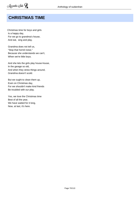### **CHRISTMAS TIME**

Christmas time for boys and girls Is a happy day, For we go to grandma's house, And eat, sing and play.

 Grandma does not tell us, "Stop that horrid noise," Because she understands we can't, When we're little boys.

 And she lets the girls play house-house, In the garage so old, And when they strew things around, Grandma doesn't scold.

 But we ought to clean them up, Even on Christmas day, For we shouldn't make kind friends Be troubled with our play.

 Yes, we love the Christmas time Best of all the year, We have waited for it long, Now, at last, it's here.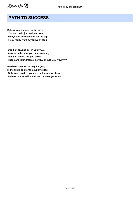## **PATH TO SUCCESS**

**Believing in yourself is the key , You can do it ,just wait and see, Always aim high and aim for the top, If you really want it, you won't stop .**

 **Don't let anyone get in your way, Always make sure you have your say, Don't let others put you down , These are your dreams, so why should you frown? ?**

**Hard work paves the way for you, In the frigid cold or the superhot loo, Only you can do it yourself and you know how! Believe in yourself and make the changes now!!!**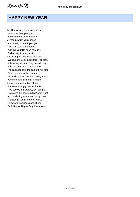#### **HAPPY NEW YEAR**

My Happy New Year wish for you Is for your best year yet, A year where life is peaceful, A year in which you cherish And what you want, you get The past year's memories, And live your life each new day, Full of bright expectancies. I'm writing this in a state of shock, Watching the clock?tick tock, tick tock, Advancing, approaching, relentlessly, A brand new year; Oh, can it be? The calendar says the same thing, too; Time races, vanishes for me; No, wait! If time flies, I'm having fun! A year of fun! It's gone! It's done! I now embrace the blur of time, Because it simply means that I'm Too busy with pleasure, joy, delight To mourn the passing days' swift flight. So I'm wishing everyone, happy days, Pleasuring you in cheerful ways, Filled with happiness and cheer, Oh!! Happy, Happy Bright New Year!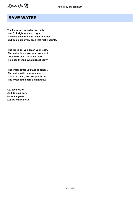#### **SAVE WATER**

**The leaky tap drips day and night. Just fix it right or shut it tight, It seems the earth with water abounds But thinks it's every drop that really counts.**

**The tap is on, you brush your teeth, The water flows, you soap your feet Just think of all the water lost!!! To close the tap, what does it cost?**

**The water bottle you take to school, The water in it is nice and cool, You drink a bit, the rest you throw, The water could help a plant grow.**

**So, save water, And do your part, It's not a game, Let the water last!!!**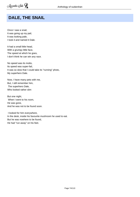# **DALE, THE SNAIL**

Once I saw a snail, It was going up my pail, It was looking pale, I took it and named it Dale.

It had a small little head, With a grumpy little face, The speed at which he goes, I don't think he can win any race.

No speed was its motto, Its speed was super-fail, It was so slow that I could take its "running" photo, My superhero Dale.

Now, I have many pets with me, But, I still remember him, The superhero Dale, Who looked rather slim

But one night, When I went to his room, He was gone, And he was not to be found soon.

 I looked for him everywhere, In the desk, inside his favourite mushroom he used to eat. But he was nowhere to be found, He had "run away" on his feet.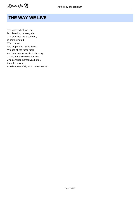# **THE WAY WE LIVE**

The water which we use, is polluted by us every day. The air which we breathe in, is contaminated. We cut trees, and propagate," Save trees". We use all the fossil fuels, and then say we waste it aimlessly. This is what all the humans do, And consider themselves better, than the animals, who live peacefully with Mother nature.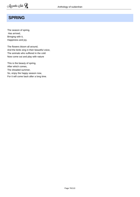#### **SPRING**

The season of spring, Has arrived, Bringing with it, Happiness and joy.

The flowers bloom all around, And the birds sing in their beautiful voice, The animals who suffered in the cold Now come out and play with nature

This is the beauty of spring, After which comes, The dreaded summer, So, enjoy the happy season now, For it will come back after a long time.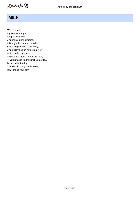# **MILK**

We love milk, It gives us energy, It fights diseases, And many other allergies. It is a good source of protein, which helps us build our body. And it provides us with Vitamin D, which build our bones, all because of this product of dairy! If you refused to drink milk yesterday, better drink it today. You should not go on its taste, It will make your day!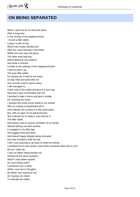# **ON BEING SEPARATED**

When I went out to my favourite place After a long time, In the vicinity of my neighbourhood, I found a little rabbit, Lying in a pile of hay, Which was neatly stacked up? After the crops had been harvested While one area was still green The other area had hay, Which distinctly was yellow? And what a contrast It made to the settings of the neighbourhood!!! I went to pick it up, The poor little rabbit, On seeing me, it tried to run away Or play hide and seek with me And at times tried to dance away, I still managed to, Catch hold of the rabbit and give it a very hug. Now that it was comfortable with me, I decided to take it home and give it shelter On reaching my home, I showed the lovely furred rabbit to my mother Who on seeing it empathized with it And ordered me to place it in the same place. But, with no signs of my going forward, She ordered me to make a cozy bed for it. The little rabbit, Now being used to various members of my family Started feeling one with another. It snuggled in my little bag And juggled here and there. And looked happy despite being relocated One day it looked a little bit sad, I felt it was yearning to go back to meet his friends, I pondered as to how would I react when someone does this to me? But as I woke up, I saw my father sitting beside me, Asking me the same question Which I had asked myself? Do such things exits? I pondered over a while While I was lost in thoughts, My father was staring at me! As if giving me orders, To relocate the rabbit.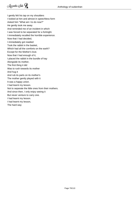I gently felt his tap on my shoulders I looked at him and almost in speechless form Asked him "What am I to do now?" He gently took me away And reminded me of an incident in which I was forced to be separated for a fortnight. I immediately recalled the horrible experience. Now that I had decided, I immediately got readied Took the rabbit in the basket, Which had all the comforts on the earth? Except for the Mother's love. Now that I had enough of it, I placed the rabbit in the bundle of hay Alongside its mother, The first thing it did Was to rush towards its mother And hug it And rub its parts on its mother's The mother gently played with it It was a happy union. I had learnt my lesson. Not to separate the little ones from their mothers. And since then, I only enjoy seeing it But never venture to carry one. I had learnt my lesson. I had learnt my lesson, The hard way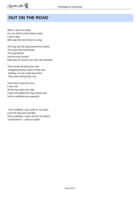# **OUT ON THE ROAD**

When I went out today, In a car which would always sway, I saw a dog, Who was the best friend of a hog.

The hog and the dog roamed the streets, They were like total freaks, The dog barked And the hog snorted, Both paid no heed to the men who shouted.

They moved all along the road, Swapping all who came in their way, Nothing, no one could stop them, They were having their say.

Then there came the hero, It was me! All the way down the road, I went and patted the hog named Hee, And he suddenly was peaceful.

 Then suddenly I got a bite on my hand, From the dog who had fled, Then suddenly I woke up from my dream, "A bad dream", I said to myself.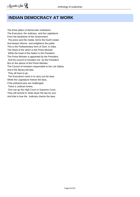# **INDIAN DEMOCRACY AT WORK**

The three pillars of democratic institutions The Executive, the Judiciary and the Legislature Form the backbone of the Government. The press and the media, forms the fourth estate And keeps/ informs and enlightens the public This is the Parliamentary form of Govt. in India, The Head of the which is the Prime Minister While the head of the Nation is the President The Prime Minister is appointed by the President, And his council of ministers too by the President But on the advice of the Prime Minister. The Council of ministers responsible to the Lok Sabha, And if the Money bill fails, They all have to go. The Executive's work is to carry out the laws, While the Legislature frames the laws, If the policies/Laws are challenged, There is Judicial review, One can go the High Court or Supreme Court, They will amend or strike down the law for you! And that is how the Judiciary checks the laws.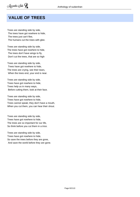# **VALUE OF TREES**

Trees are standing side by side, The trees have got nowhere to hide, The trees just can't flee, The humans cut the trees with glee.

Trees are standing side by side, The trees have got nowhere to hide, The trees don't have wings to fly, Don't cut the trees, that are so high

Trees are standing side by side, Trees have got nowhere to hide, The trees are crying, see their tears, When the trees end, your end is near.

Trees are standing side by side, Trees have got nowhere to hide, Trees help us in many ways, Before cutting them, look at their face.

Trees are standing side by side, Trees have got nowhere to hide, Trees cannot speak; they don't have a mouth, When you cut them, you can hear their shout.

Trees are standing side by side, Trees have got nowhere to hide, The trees are so important for our life, So think before you cut them in a trice.

Trees are standing side by side, Trees have got nowhere to hide, So save the trees before they are gone, And save the world before they are gone.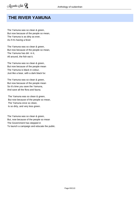## **THE RIVER YAMUNA**

The Yamuna was so clean & green, But now because of the people so mean, The Yamuna is as dirty as ever, As if it's having a fever

The Yamuna was so clean & green, But now because of the people so mean, The Yamuna has dirt in it, All around, the fish eat it.

The Yamuna was so clean & green, But now because of the people mean The Yamuna is black in colour, Just like a bear, with a dark black fur.

The Yamuna was so clean & green, But now because of the people mean So it's time you save the Yamuna, And save all the flora and fauna.

 The Yamuna was so clean & green, But now because of the people so mean, The Yamuna once so clean, Is so dirty, and very less green.

The Yamuna was so clean & green, But, now because of the people so mean The Government has stepped in To launch a campaign and educate the public.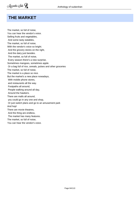#### **THE MARKET**

The market, so full of noise, You can hear the vendor's voice. Selling fruits and vegetables, And some tasty eatables, The market, so full of noise, With the vendor's voice so bright. And the grocery stores on the right, And the dairy just besides. The market, so full of noise, Every season there's a new surprise, Sometimes mangoes, sometimes apple. Or a bag full of rice, cereals, pulses and other groceries The market, so full of noise, The market is a place so nice. But the market's a new place nowadays, With mobile phone stores, and restaurants all the way. Footpaths all around, People walking around all day, Around the hawkers. There are malls all around, you could go in any one and shop, Or just switch plans and go to an amusement park And hop! There are movie theatres, And the thing are endless, The market has many features. The market, so full of noise, You can hear the vendor's voice.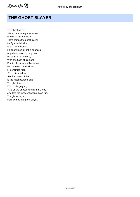# **THE GHOST SLAYER**

The ghost slayer, Here comes the ghost slayer, Riding on his fire cycle, Here comes the ghost slayer He fights all villains, With his fiery looks, He can thrash all of his enemies, Anywhere, anytime, any day. He can kill all demons, With one flash of his hand, Due to the power of fire in him, He is the fear of all villains. His enemies fear, Even his shadow, For his power of fire. Is the most powerful one. The ghost slayer, With his huge gun, Kills all the ghosts coming in his way, And let's the innocent people have fun. The ghost slayer, Here comes the ghost slayer.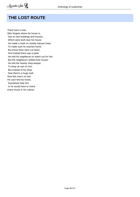# **THE LOST ROUTE**

There lives a man, Who forgets where his house is, Due to new buildings and houses, Which were built near his house. He made a mark on nearby banyan trees, To make sure he reaches home. But those trees were cut down, And instead there was a park! He told his neighbours to watch out for him, But the neighbours shifted their house! He told the nearby shop keeper, To keep an eye on him, But instead of his shop, Now there's a huge mall. Now this man's so lost, He can't find his home, Somebody help him, or he would have to check every house in his colony!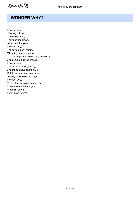# **I WONDER WHY?**

I wonder why, The sky is blue, With a light hue, The sunshine glows, All around the globe. I wonder why, The flowers don't bloom, Till spring comes one day, The raindrops don't like to stay in the sky, And come to hug the ground. I wonder why, The birds have wings to fly, And the fish have fins to swim, But the animals are so unlucky, As they don't have anything! I wonder why, These thoughts come to my mind, When I have other things to do, When I'm bored, I shall have to find!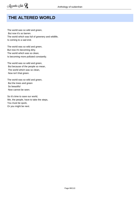# **THE ALTERED WORLD**

The world was so wild and green, But now it's so barren. The world which was full of greenery and wildlife, Is coming to a sad end.

The world was so wild and green, But now it's becoming dirty. The world which was so clean, Is becoming more polluted constantly.

The world was so wild and green, But because of the people so mean, The world which was so clean, Now isn't that green.

The world was so wild and green, But the trees and green So beautiful Now cannot be seen.

So it's time to save our world, We, the people, have to take the steps, You must be quick, Or you might be next.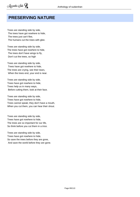# **PRESERVING NATURE**

Trees are standing side by side, The trees have got nowhere to hide, The trees just can't flee, The humans cut the trees with glee.

Trees are standing side by side, The trees have got nowhere to hide, The trees don't have wings to fly, Don't cut the trees, so high

Trees are standing side by side, Trees have got nowhere to hide, The trees are crying, see their tears, When the trees end, your end is near.

Trees are standing side by side, Trees have got nowhere to hide, Trees help us in many ways, Before cutting them, look at their face.

Trees are standing side by side, Trees have got nowhere to hide, Trees cannot speak; they don't have a mouth, When you cut them, you can hear their shout.

Trees are standing side by side, Trees have got nowhere to hide, The trees are so important for our life, So think before you cut them in a trice.

Trees are standing side by side, Trees have got nowhere to hide, So save the trees before they are gone, And save the world before they are gone.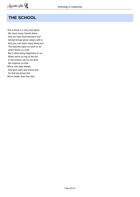# **THE SCHOOL**

The school is a very nice place. We have many friends there, And we have kind teachers too! School brings great values with it, And you can learn many thing too! The teachers give us work to do which bores us a lot! But it does bring happiness to us, When we're on top of the lot! In the school, we try our best, We improve so that We're one step ahead, And give each and every test, So that we prove that We're better than the rest!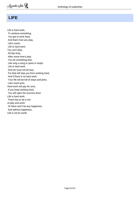#### **LIFE**

Life is hard work, To achieve something, You got to work hard, And that's how you play, Life's cards.. Life is hard work. You can't play, All day long. After some time's play, You do something else, Like sing a song or paint or study! Life is hard work. And we must not be lazy, For that will stop you from working hard, And if there is no hard work, Your life will be full of stops and jerks. Life's hard work, Hard work will pay for sure, If you keep working hard, You will open the success door! Life is hard work. There has to be a mix of play and work! Or there won't be any happiness, And without happiness, Life is not its worth.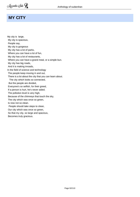#### **MY CITY**

My city is large, My city is spacious, People say, My city is gorgeous My city has a lot of parks, Where you can have a lot of fun, My city has a lot of restaurants, Where you can have a grand meal, or a simple bun. My city has big roads, And it is making inroads, In the field of science and technology The people keep moving in and out, There is a lot about the city that you can learn about. The city which looks so connected, But the people are divided, Everyone's so selfish, for their greed, If a person is hurt, he's never aided. The pollution level is very high, Because of the chimneys that touch the sky, The city which was once so green, Is now not so clean. People should take steps to clean, Our city which was once so green, So that my city, so large and spacious, Becomes truly gracious.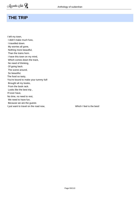### **THE TRIP**

I left my town, I didn't make much fuss, I travelled down. My worries all gone, Nothing more beautiful, Than the trains horn. I have this town on my mind, Which comes down the track, No need of thinking, Of going back. The scene around, So beautiful, The food so tasty, You're bound to make your tummy full! Brought all my books, From the book rack. Looks like the best trip , I'll ever have, No time, no need to rest, We need to have fun, Because we are the guests I just want to travel on the road now, I just want to travel on the road now,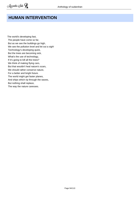# **HUMAN INTERVENTION**

The world's developing fast, The people have come so far, But as we see the buildings go high, We see the pollution level and let out a sigh! Technology's developing quick, But the trees are becoming sick, What's the use of technology, If it's going to kill all the trees? We think of making flying cars, But that wouldn't heal nature's scars, We should rather conserve nature, For a better and bright future. The world might get faster planes, And ships which rip through the waves, But nothing shall replace, The way the nature caresses.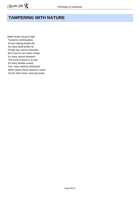# **TAMPERING WITH NATURE**

Water levels rising so high, Tsunamis, Earthquakes, All are making people die, So many dead bodies lie. People say nature's beautiful, But it has its own share of bad, So many natural disasters, The result of these is so sad. So many families ruined, And many relations destroyed. While nature shows beauty to some, On the other hand, some get toyed.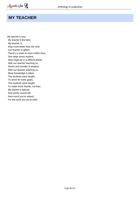# **MY TEACHER**

My teacher's nice, My teacher's the best, My teacher is, Way more better than the rest! Our teacher is gifted, There's a smile on each child's face, She helps every student, Who might be in a difficult phase. With our teacher teaching us, Desire and wonder is awaken. With our teacher teaching us, More knowledge is taken. The students were taught, To strive for more goals, The students were taught, To make more friends, not foes. My teacher's special, And words cannot tell, How much you're valued, For the work you do so well!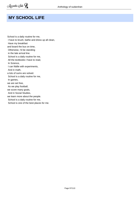# **MY SCHOOL LIFE**

School is a daily routine for me, I have to brush, bathe and dress up all clean, Have my breakfast and board the bus on time, Otherwise, I'd be standing in the late arrival line. School is a daily routine for me, All the textbooks I have to read, In Science, I can fiddle with experiments, And in math, a lots of sums are solved. School is a daily routine for me, In games, we are set free, As we play football, we score many goals, And in Social Studies, we learn more about the people. School is a daily routine for me, School is one of the best places for me.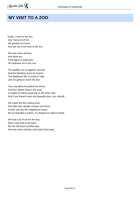## **MY VISIT TO A ZOO**

Today, I went to the zoo, And had a lot of fun, We packed our lunch, And set out in the heat of the sun.

 We saw many animals, And birds too, From tigers to peacocks, All creatures are in the zoo.

 The giraffes are so gigantic and tall, And the Monkeys jump all around, The elephants lifts its trunk so high, Like it's going to reach the sky!

 Two crocodiles lie behind the fence, And four hippos lying in the mud, A couple of zebras prancing on the other side, And if you haven't seen the beautiful deer, you should!

 We heard the lion roaring loud, And after that, people scream and shout, Finally, we saw the magnificent cobra, But as beautiful it seems, it's dangerous without doubt.

 We had a lot of fun for the day, Now it was time to go back, But we will return another day, And see more animals, and watch them play.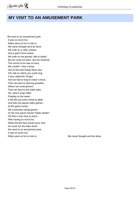# **MY VISIT TO AN AMUSEMENT PARK**

We went to an amusement park, It was so much fun, Rides were so fun to ride in, We never thought we'd be done. We rode on a roller coaster, And a giant Ferris wheel, We rode on the ghostly 'ride to death', But we came out alive, and we cheered! The sound of fun was so loud, We couldn't hear a thing, One of the best things there was, The ride on which you could sing. It was called the 'Singer', And we had to sing to make it move, Then we went to dancing paradise, Where we could groove! Then we went to the water park, Oh, what a huge slide! Floating on the water, It felt like you were meant to glide. And then we played video games, At the game center, We could play racing games, Or the nice game named "helter skelter" Oh then it was time to return, After having so much fun, Rides felt like they would never end, So much fun the rides send! We went to an amusement park, It was so much fun, Rides were so fun to ride in, The Community of the U.S. we never thought we'd be done.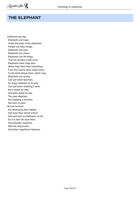#### **THE ELEPHANT**

Elephants are big, Elephants are huge, Under the body of the elephants, People can take refuge, Elephants are wise, Elephants are clever, Elephants can lift things, That we humans could never. Elephants have huge ears, Which help them hear everything, From the insects down below them, To the birds above them, which sing. Elephants are strong, Can pull down big trees, An angry elephant on its way, Can pull down anything it sees. But it keeps its calm. And goes along its way, The wise elephant, Not stopping a moment, Not even to pant. But we humans, Are destroying their habitat, And soon they will be extinct, And we'll see no elephants, so fat. So it is time we save them, The beautiful creatures, With the long trunks, And other magnificent features.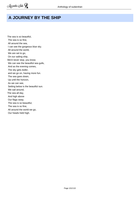# **A JOURNEY BY THE SHIP**

The sea is so beautiful, The sea is so fine, All around the sea, I can see the gorgeous blue sky. All around the world, We are set to go, On our sailing ship, We'd never stop, you know. We can see the beautiful sea gulls, And as the evening comes, The sky gets duller, and we go on, having more fun. The sea goes down, Up until the horizon, As we can see, Setting below is the beautiful sun. We sail around, The sea all day, And high above Our flags sway. The sea is so beautiful, The sea is so fine, All around the world we go, Our heads held high.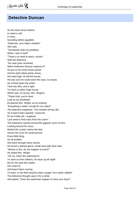## **Detective Duncan**

As the clock struck twelve, In came a call, A voice, Sounding rather appalled. "Detective. your help's needed!" She said, "Somebody stole my jewellery, When I wan in bed!" "There's no need to worry, ma'am" Said the detective. "No case goes unsolved, When Detective Duncan inspects it!" He put on his lucky brown jacket, And his pitch black pointy shoes, His head high, he left the house. He was sure he could solve the case, no issues. He rushed down the street, Took two lefts, and a right, To reach a rather huge house, Which was, of course, Mrs. Wright's. "Thank God, you're here! Look at my wardrobe!" Exclaimed Mrs. Wright, as he entered, "Everything's stolen, except for my robes!" The detective explained, "The window sill has dirt, So it hasn't been opened, I presume. It's an inside job, I suppose, I just need to find clues from this room!" The Detective roamed around the gigantic room of hers, Looking around for clues, Behind the curtain, below the bed. Across the room he would peruse Every little thing. As he probed, And went through every utensil, He found a stained glove, inside here pale blue robe. "Whose is this, do you happen to know?" He asked Mrs. Wright "Oh my, that's the watchman's! To save us from robbery, he stays up all night! But for the past few weeks, He's been ill, And hasn't been coming To work, or the thief would've been caught, he's rather skilled!" The Detective thought upon it for a while, And asked, "Does the watchman happen to have your keys?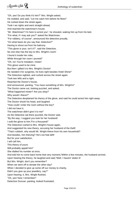"Oh, yes! Do you think it's him?" Mrs. Wright asked, He nodded, and said, "Let me catch him before he flees!" He rushed down the street again, Took t wo rights and went straight ahead, And reached the watchman's house. "Mr. Watchman? I'm here to arrest you", he shouted, waking him up from his bed. "For what, if i may ask you?" asked the Watchman, "For robbery, of course", announced the detective proudly, "On what basis do you say that, Detective?" Having to shout out from his balcony. "This glove is your, isn't it?", said the Detective, No one else has the key to Mrs. Wright's room! I found it inside her robe, While through her room I pruned!" "Oh, no! You're mistaken, mister! This glove used to be mine But then I gifted it to Mrs. Wright's Doctor! He needed it for surgeries, he lives right besides Hotel Shine!" The Detective sighted, and rushed across the street again. Took two lefts and a right, Reached the Doctor's house, And announced, panting, "You have something of Mrs. Wright's!" The Doctor came out, looking puzzled, and asked, "What happened mister? Are you okay? Why would i thieve?" The Detective dexplained his theory of the glove, and said he could arrest him right away. The Doctor shook his head, and laughed. "How could I enter the room without the key? I did not have it, The watchman didn't give it to me!" As the Detective sat there puzzled, the Doctor said, "By the way, I suggest you look for her husband! I sold the glove to him,'For a thousand!" The Detective rushed to Mrs. Wright's house again, And suggested his new theory, accusing her husband of the theft! "That's rubbish, why would Mr. Wright thieve from his own household? And besides, him thieving? He's not htat deft! But for your satisfaction, I will call him, This theory of yours Will probably appall him!" She dialled his number at once, And told him to come back home that very moment,'Within a few minutes, the husband arrived, Upon hearing the theory, he laughed and said,"Well, I havent' stolen it! But Mrs. Wright, don't you remember? When we went off to donate the other day? When I decided to give up some off our money to charity, Didn't you give up your jewellery, say?" Upon hearing, it, Mrs. Wright flushed, "Oh, yes! Now I remember!" Detective Duncan, panting, looked frustrated,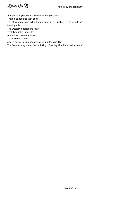"I appreciate your efforts, Detective, but you see?

There has been no theft at all,

The glove must have fallen from my pocket as I picked up the jewellery!"

Hearing this,

The Detective decided to leave,

Took two rights, and a left,

And rushed down the street,

To reach him home,

After a day of having been involved in utter stupidity,

The Detective lay on his bed, thinking, "One day I'll solve a real mystery."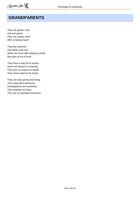# **GRANDPARENTS**

They are gentle, kind, soft and grand, They are always there With a helping hand!

They are admired, And rather wise too! When we come after playing outside, they give us lot of food!

They have a bag full of stories, which are always so inspiring, They give us reasons to laugh, They never seem to be tiring!

They are easy going and loving, They enjoy life's pleasures, Grandparents are wonderful, They brighten our days, They are our greatest treasures!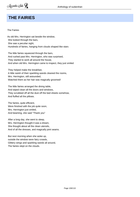#### **THE FAIRIES**

#### The Fairies

As old Mrs. Herrington sat beside the window, She looked through the bars, She saw a peculiar sight, Hundreds of fairies, hanging from clouds shaped like stars

 The little fairies squeezed through the bars, And rushed past Mrs. Herrington, who was surprised, They started to work all around the house, And when old Mrs. Herrington came to inspect, they just smiled

 They helped make the breakfast, A little swish of their sparkling wands cleaned the rooms, Mrs. Herrington, still astounded, Watched them as her hair was magically groomed!

 The little fairies arranged the dining table, And wiped clean all the doors and windows, They scrubbed off all the dust off the bed sheets somehow, And fluffed all the pillows.

 The fairies, quite efficient, Were finished with the job quite soon, Mrs. Herrington just smiled, And beaming, she said "Thank you"

 After a long day, she went to sleep, Mrs. Herrington thought it was a dream, She thought about all the clean utensils, And of all the dresses, and magically joint seams.

 But next morning when she woke up, outside the window were fairy crowds, Glittery wings and sparkling wands all around, The fairies slept on the clouds.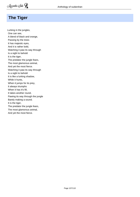#### **The Tiger**

Lurking in the jungles, One can see, A blend of black and orange, Passing by the trees It has majestic eyes, And it is rather bold, Watching it paw its way through Is a sight to behold It is the tiger, The predator the jungle fears, The most glamorous animal, And yet the most fierce. Watching it paw its way through Is a sight to behold It is like a lurking shadow, While it hunts, When it jumps for its prey, It always triumphs When it has it's fill, It takes another round, Pawing its way through the jungle Barely making a sound. It is the tiger, The predator the jungle fears, The most glamorous animal, And yet the most fierce.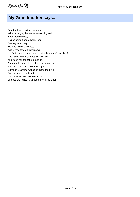#### **My Grandmother says...**

Grandmother says that sometimes, When it's night, the stars are twinkling and, A full moon shines, Fairies come from a distant land She says that they Help her with her dishes, And Dirty clothes, dusty rooms; the fairies would clean them all with their wand's swishes! The fairies would take out all the trash, and wash her car parked outside! They would water all the plants in the garden, And mop the floors the same night So when Grandma wakes up in the morning, She has almost nothing to do! So she looks outside the window, and see the fairies fly through the sky so blue!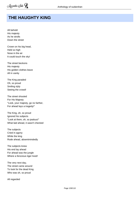## **THE HAUGHTY KING**

All behold His majesty As he strolls Down the street

Crown on his big head, Held so high Nose in the air It could touch the sky!

The street beckons His majesty His golden clothes leave All in vanity

The King paraded Oh, so proud Smiling slyly Seeing the crowd!

The street shouted For His Majesty "Look, your majesty, go no farther, For ahead lays a tragedy!"

The King, oh, so proud Ignored his subjects "Look at them, oh, so jealous!" What laid ahead, it wasn't checked

The subjects Cried in agony While the king Rode ahead, absentmindedly

The subjects knew His end lay ahead For ahead was the jungle Where a ferocious tiger lived!

The very next day, The street came around To look for the dead King Who was oh, so proud

All regarded